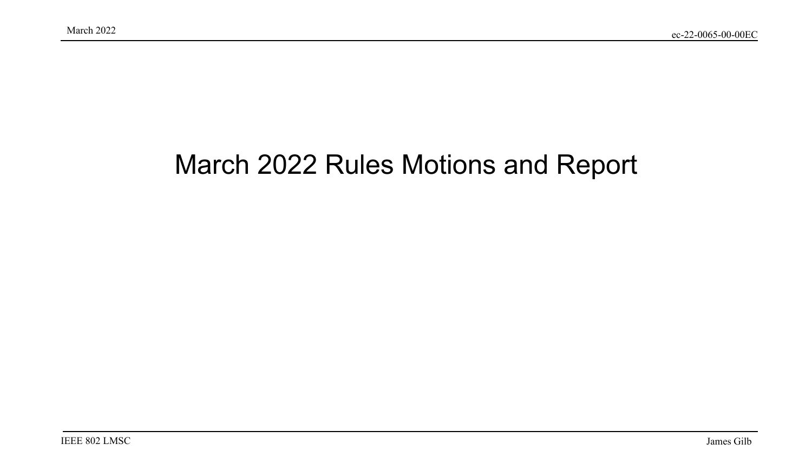### March 2022 Rules Motions and Report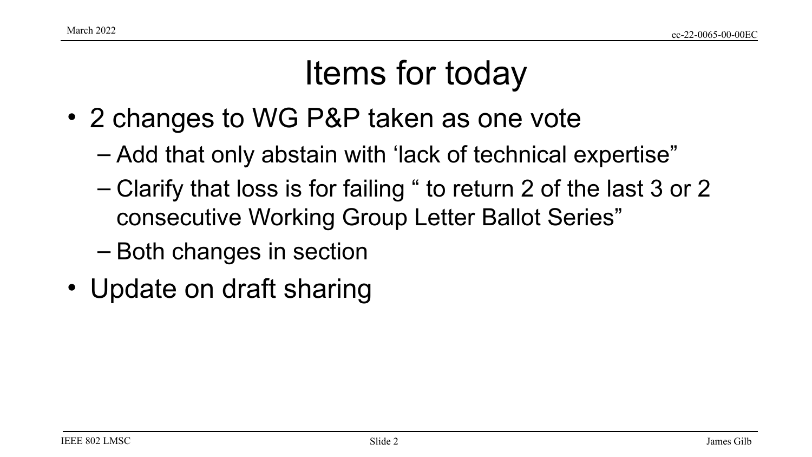### Items for today

- 2 changes to WG P&P taken as one vote
	- Add that only abstain with 'lack of technical expertise"
	- Clarify that loss is for failing " to return 2 of the last 3 or 2 consecutive Working Group Letter Ballot Series"
	- Both changes in section
- Update on draft sharing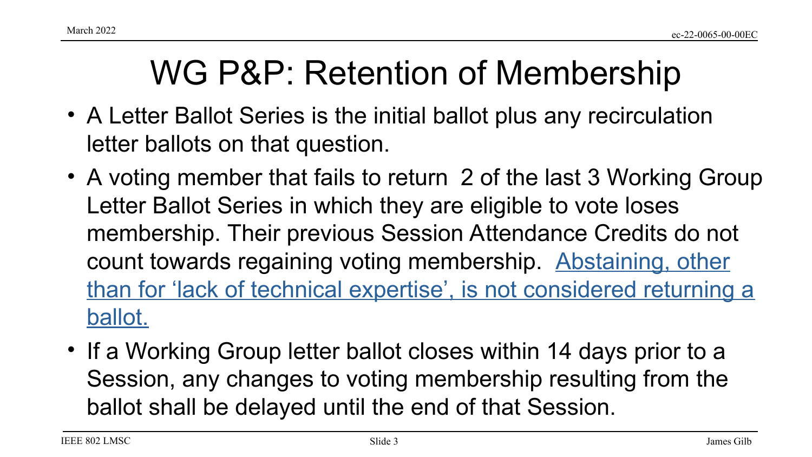### WG P&P: Retention of Membership

- A Letter Ballot Series is the initial ballot plus any recirculation letter ballots on that question.
- A voting member that fails to return 2 of the last 3 Working Group Letter Ballot Series in which they are eligible to vote loses membership. Their previous Session Attendance Credits do not count towards regaining voting membership. Abstaining, other than for 'lack of technical expertise', is not considered returning a ballot.
- If a Working Group letter ballot closes within 14 days prior to a Session, any changes to voting membership resulting from the ballot shall be delayed until the end of that Session.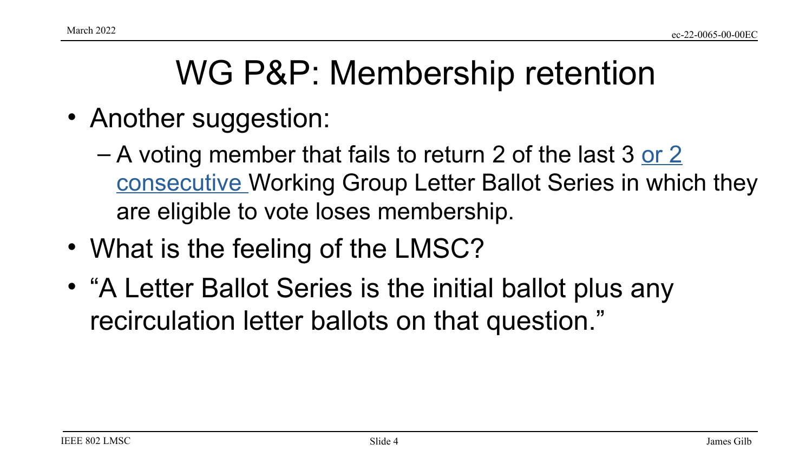## WG P&P: Membership retention

- Another suggestion:
	- $-$  A voting member that fails to return 2 of the last 3 or 2 consecutive Working Group Letter Ballot Series in which they are eligible to vote loses membership.
- What is the feeling of the LMSC?
- "A Letter Ballot Series is the initial ballot plus any recirculation letter ballots on that question."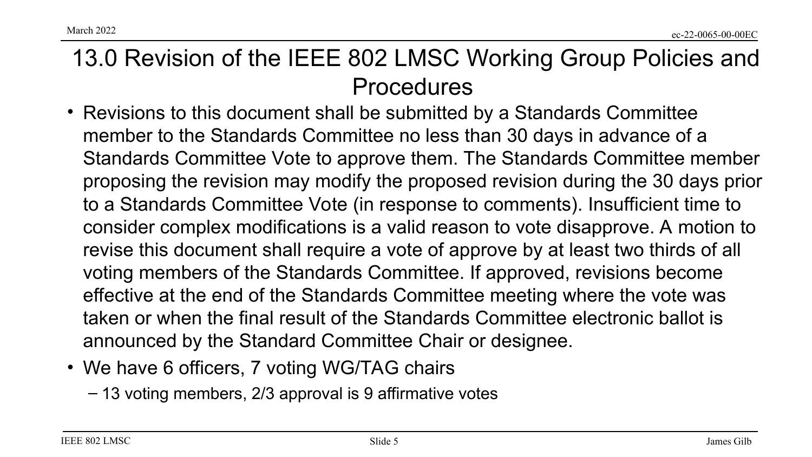March 2022

#### 13.0 Revision of the IEEE 802 LMSC Working Group Policies and Procedures

- Revisions to this document shall be submitted by a Standards Committee member to the Standards Committee no less than 30 days in advance of a Standards Committee Vote to approve them. The Standards Committee member proposing the revision may modify the proposed revision during the 30 days prior to a Standards Committee Vote (in response to comments). Insufficient time to consider complex modifications is a valid reason to vote disapprove. A motion to revise this document shall require a vote of approve by at least two thirds of all voting members of the Standards Committee. If approved, revisions become effective at the end of the Standards Committee meeting where the vote was taken or when the final result of the Standards Committee electronic ballot is announced by the Standard Committee Chair or designee.
- We have 6 officers, 7 voting WG/TAG chairs
	- 13 voting members, 2/3 approval is 9 affirmative votes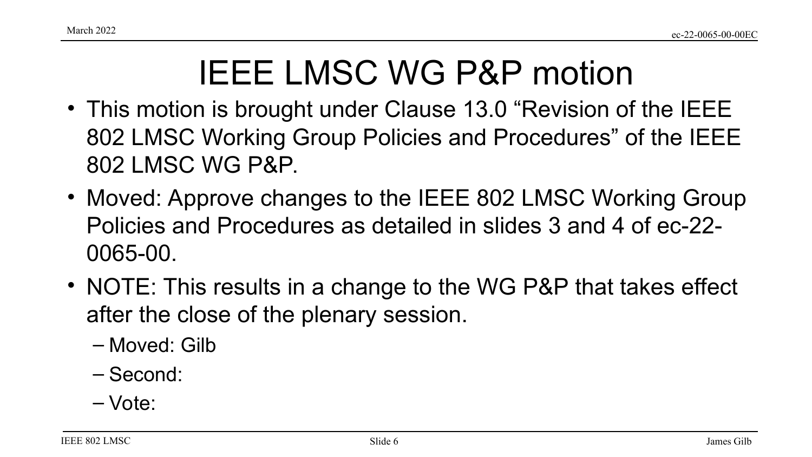# IEEE LMSC WG P&P motion

- This motion is brought under Clause 13.0 "Revision of the IEEE 802 LMSC Working Group Policies and Procedures" of the IEEE 802 LMSC WG P&P.
- Moved: Approve changes to the IEEE 802 LMSC Working Group Policies and Procedures as detailed in slides 3 and 4 of ec-22- 0065-00.
- NOTE: This results in a change to the WG P&P that takes effect after the close of the plenary session.
	- Moved: Gilb
	- Second:
	- Vote: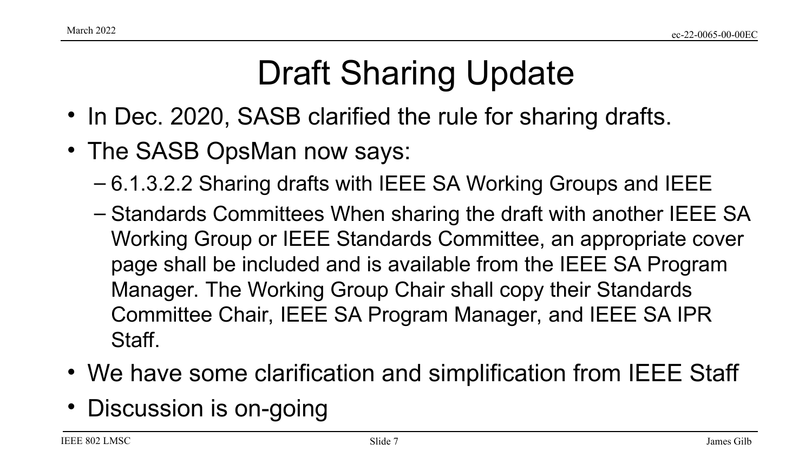# Draft Sharing Update

- In Dec. 2020, SASB clarified the rule for sharing drafts.
- The SASB OpsMan now says:
	- 6.1.3.2.2 Sharing drafts with IEEE SA Working Groups and IEEE
	- Standards Committees When sharing the draft with another IEEE SA Working Group or IEEE Standards Committee, an appropriate cover page shall be included and is available from the IEEE SA Program Manager. The Working Group Chair shall copy their Standards Committee Chair, IEEE SA Program Manager, and IEEE SA IPR Staff.
- We have some clarification and simplification from IEEE Staff
- Discussion is on-going